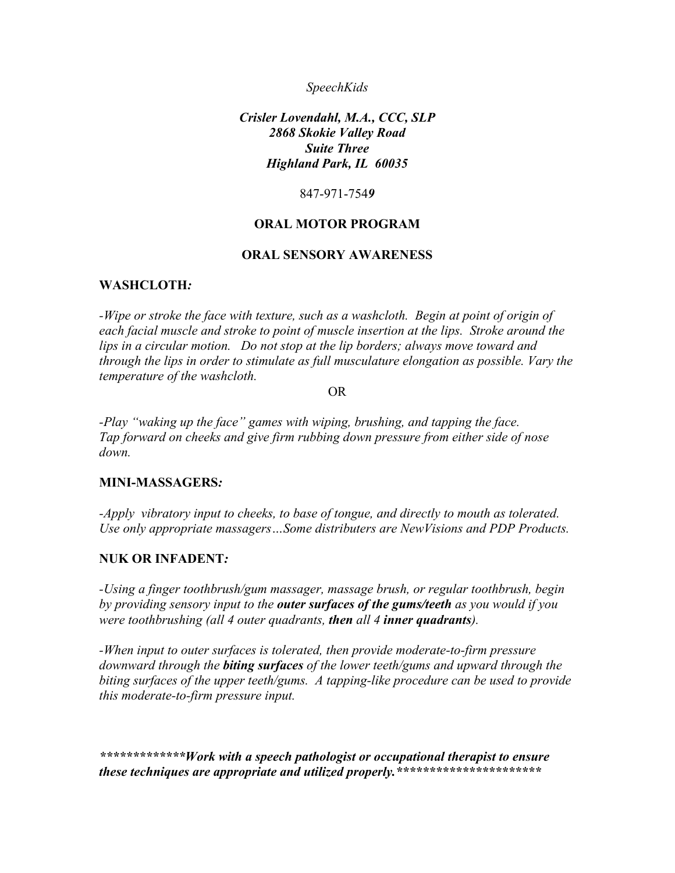#### *SpeechKids*

### *Crisler Lovendahl, M.A., CCC, SLP 2868 Skokie Valley Road Suite Three Highland Park, IL 60035*

847-971-754*9* 

### **ORAL MOTOR PROGRAM**

#### **ORAL SENSORY AWARENESS**

### **WASHCLOTH***:*

-Wipe or stroke the face with texture, such as a washcloth. Begin at point of origin of *each facial muscle and stroke to point of muscle insertion at the lips. Stroke around the lips in a circular motion. Do not stop at the lip borders; always move toward and through the lips in order to stimulate as full musculature elongation as possible. Vary the temperature of the washcloth.* 

OR

*-Play "waking up the face" games with wiping, brushing, and tapping the face. Tap forward on cheeks and give firm rubbing down pressure from either side of nose down.* 

#### **MINI-MASSAGERS***:*

*-Apply vibratory input to cheeks, to base of tongue, and directly to mouth as tolerated. Use only appropriate massagers…Some distributers are NewVisions and PDP Products.* 

### **NUK OR INFADENT***:*

*-Using a finger toothbrush/gum massager, massage brush, or regular toothbrush, begin by providing sensory input to the outer surfaces of the gums/teeth as you would if you were toothbrushing (all 4 outer quadrants, then all 4 inner quadrants).* 

*-When input to outer surfaces is tolerated, then provide moderate-to-firm pressure downward through the biting surfaces of the lower teeth/gums and upward through the biting surfaces of the upper teeth/gums. A tapping-like procedure can be used to provide this moderate-to-firm pressure input.* 

*\*\*\*\*\*\*\*\*\*\*\*\*\*Work with a speech pathologist or occupational therapist to ensure these techniques are appropriate and utilized properly.\*\*\*\*\*\*\*\*\*\*\*\*\*\*\*\*\*\*\*\*\*\**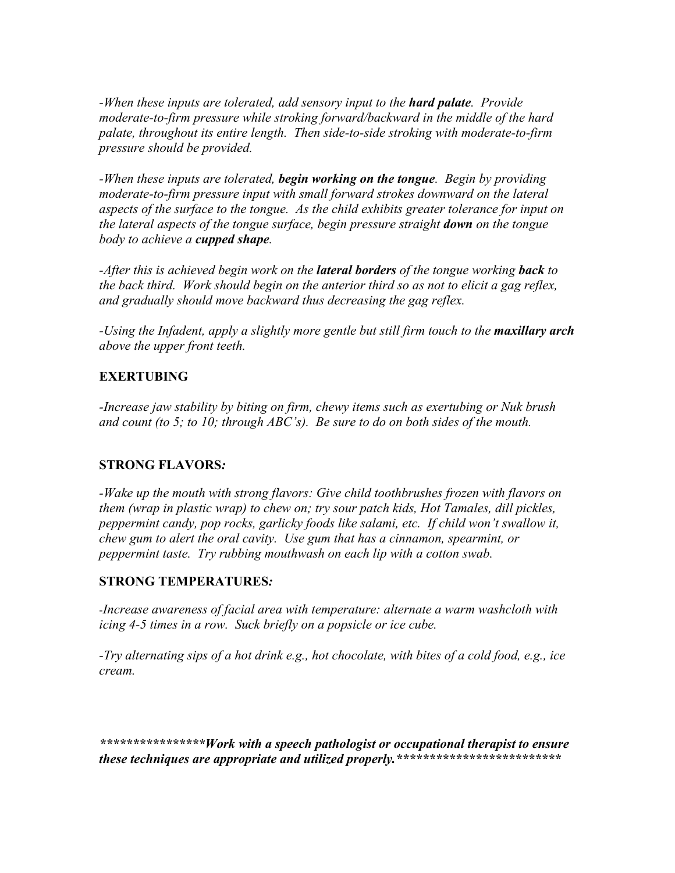*-When these inputs are tolerated, add sensory input to the hard palate. Provide moderate-to-firm pressure while stroking forward/backward in the middle of the hard palate, throughout its entire length. Then side-to-side stroking with moderate-to-firm pressure should be provided.* 

*-When these inputs are tolerated, begin working on the tongue. Begin by providing moderate-to-firm pressure input with small forward strokes downward on the lateral aspects of the surface to the tongue. As the child exhibits greater tolerance for input on the lateral aspects of the tongue surface, begin pressure straight <i>down* on the tongue *body to achieve a cupped shape.* 

*-After this is achieved begin work on the lateral borders of the tongue working back to the back third. Work should begin on the anterior third so as not to elicit a gag reflex, and gradually should move backward thus decreasing the gag reflex.* 

*-Using the Infadent, apply a slightly more gentle but still firm touch to the maxillary arch above the upper front teeth.* 

# **EXERTUBING**

*-Increase jaw stability by biting on firm, chewy items such as exertubing or Nuk brush and count (to 5; to 10; through ABC's). Be sure to do on both sides of the mouth.* 

# **STRONG FLAVORS***:*

*-Wake up the mouth with strong flavors: Give child toothbrushes frozen with flavors on them (wrap in plastic wrap) to chew on; try sour patch kids, Hot Tamales, dill pickles, peppermint candy, pop rocks, garlicky foods like salami, etc. If child won't swallow it, chew gum to alert the oral cavity. Use gum that has a cinnamon, spearmint, or peppermint taste. Try rubbing mouthwash on each lip with a cotton swab.* 

# **STRONG TEMPERATURES***:*

-*Increase awareness of facial area with temperature: alternate a warm washcloth with icing 4-5 times in a row. Suck briefly on a popsicle or ice cube.* 

*-Try alternating sips of a hot drink e.g., hot chocolate, with bites of a cold food, e.g., ice cream.*

*\*\*\*\*\*\*\*\*\*\*\*\*\*\*\*\*Work with a speech pathologist or occupational therapist to ensure these techniques are appropriate and utilized properly.\*\*\*\*\*\*\*\*\*\*\*\*\*\*\*\*\*\*\*\*\*\*\*\*\**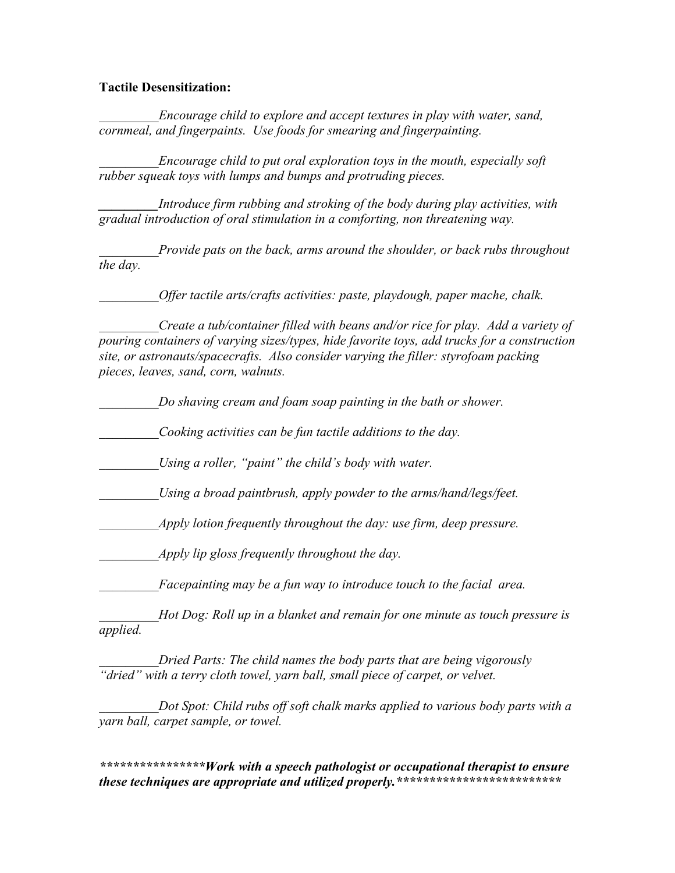#### **Tactile Desensitization:**

*\_\_\_\_\_\_\_\_\_Encourage child to explore and accept textures in play with water, sand, cornmeal, and fingerpaints. Use foods for smearing and fingerpainting.* 

*\_\_\_\_\_\_\_\_\_Encourage child to put oral exploration toys in the mouth, especially soft rubber squeak toys with lumps and bumps and protruding pieces.*

*Introduce firm rubbing and stroking of the body during play activities, with gradual introduction of oral stimulation in a comforting, non threatening way.* 

*Provide pats on the back, arms around the shoulder, or back rubs throughout the day.* 

*Offer tactile arts/crafts activities: paste, playdough, paper mache, chalk.* 

*Create a tub/container filled with beans and/or rice for play. Add a variety of pouring containers of varying sizes/types, hide favorite toys, add trucks for a construction site, or astronauts/spacecrafts. Also consider varying the filler: styrofoam packing pieces, leaves, sand, corn, walnuts.* 

*\_\_\_\_\_\_\_\_\_Do shaving cream and foam soap painting in the bath or shower.* 

*\_\_\_\_\_\_\_\_\_Cooking activities can be fun tactile additions to the day.* 

*Using a roller, "paint" the child's body with water.* 

Using a broad paintbrush, apply powder to the arms/hand/legs/feet.

*Apply lotion frequently throughout the day: use firm, deep pressure.* 

*\_\_\_\_\_\_\_\_\_Apply lip gloss frequently throughout the day.* 

*\_\_\_\_\_\_\_\_\_Facepainting may be a fun way to introduce touch to the facial area.* 

*Hot Dog: Roll up in a blanket and remain for one minute as touch pressure is applied.* 

*Dried Parts: The child names the body parts that are being vigorously "dried" with a terry cloth towel, yarn ball, small piece of carpet, or velvet.* 

*Dot Spot: Child rubs off soft chalk marks applied to various body parts with a yarn ball, carpet sample, or towel.* 

*\*\*\*\*\*\*\*\*\*\*\*\*\*\*\*\*Work with a speech pathologist or occupational therapist to ensure these techniques are appropriate and utilized properly.\*\*\*\*\*\*\*\*\*\*\*\*\*\*\*\*\*\*\*\*\*\*\*\*\**